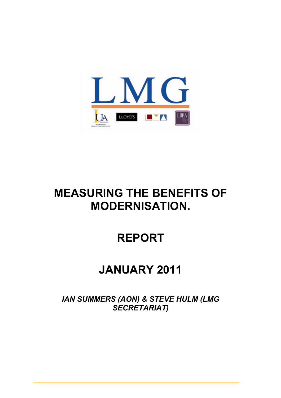

# **MEASURING THE BENEFITS OF MODERNISATION.**

# **REPORT**

# **JANUARY 2011**

*IAN SUMMERS (AON) & STEVE HULM (LMG SECRETARIAT)*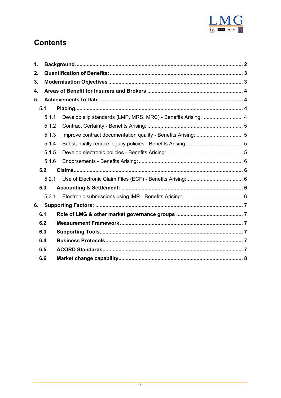

# **Contents**

| 1.  |       |  |
|-----|-------|--|
| 2.  |       |  |
| 3.  |       |  |
| 4.  |       |  |
| 5.  |       |  |
| 5.1 |       |  |
|     | 5.1.1 |  |
|     | 5.1.2 |  |
|     | 5.1.3 |  |
|     | 5.1.4 |  |
|     | 5.1.5 |  |
|     | 5.1.6 |  |
|     | 5.2   |  |
|     | 5.2.1 |  |
|     | 5.3   |  |
|     | 5.3.1 |  |
| 6.  |       |  |
| 6.1 |       |  |
| 6.2 |       |  |
| 6.3 |       |  |
| 6.4 |       |  |
| 6.5 |       |  |
| 6.6 |       |  |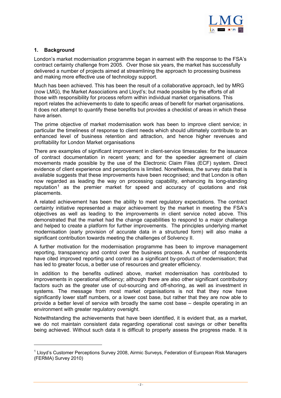

# <span id="page-2-0"></span>**1. Background**

 $\overline{a}$ 

London's market modernisation programme began in earnest with the response to the FSA's contract certainty challenge from 2005. Over those six years, the market has successfully delivered a number of projects aimed at streamlining the approach to processing business and making more effective use of technology support.

Much has been achieved. This has been the result of a collaborative approach, led by MRG (now LMG), the Market Associations and Lloyd's; but made possible by the efforts of all those with responsibility for process reform within individual market organisations. This report relates the achievements to date to specific areas of benefit for market organisations. It does not attempt to quantify these benefits but provides a checklist of areas in which these have arisen.

The prime objective of market modernisation work has been to improve client service; in particular the timeliness of response to client needs which should ultimately contribute to an enhanced level of business retention and attraction, and hence higher revenues and profitability for London Market organisations

There are examples of significant improvement in client-service timescales: for the issuance of contract documentation in recent years; and for the speedier agreement of claim movements made possible by the use of the Electronic Claim Files (ECF) system. Direct evidence of client experience and perceptions is limited. Nonetheless, the survey data that is available suggests that these improvements have been recognised; and that London is often now regarded as leading the way on processing capability, enhancing its long-standing reputation<sup>1</sup> as the premier market for speed and accuracy of quotations and risk placements.

A related achievement has been the ability to meet regulatory expectations. The contract certainty [in](#page-2-1)itiative represented a major achievement by the market in meeting the FSA's objectives as well as leading to the improvements in client service noted above. This demonstrated that the market had the change capabilities to respond to a major challenge and helped to create a platform for further improvements. The principles underlying market modernisation (early provision of accurate data in a structured form) will also make a significant contribution towards meeting the challenges of Solvency II.

A further motivation for the modernisation programme has been to improve management reporting, transparency and control over the business process. A number of respondents have cited improved reporting and control as a significant by-product of modernisation; that has led to greater focus, a better use of resources and greater efficiency.

In addition to the benefits outlined above, market modernisation has contributed to improvements in operational efficiency; although there are also other significant contributory factors such as the greater use of out-sourcing and off-shoring, as well as investment in systems. The message from most market organisations is not that they now have significantly lower staff numbers, or a lower cost base, but rather that they are now able to provide a better level of service with broadly the same cost base – despite operating in an environment with greater regulatory oversight.

Notwithstanding the achievements that have been identified, it is evident that, as a market, we do not maintain consistent data regarding operational cost savings or other benefits being achieved. Without such data it is difficult to properly assess the progress made. It is

<span id="page-2-1"></span><sup>&</sup>lt;sup>1</sup> Lloyd's Customer Perceptions Survey 2008, Airmic Surveys, Federation of European Risk Managers (FERMA) Survey 2010)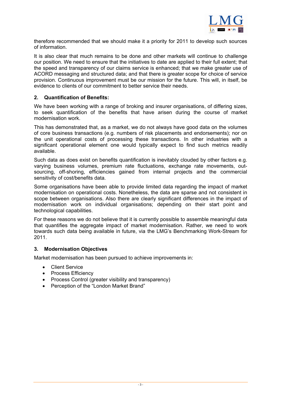

<span id="page-3-0"></span>therefore recommended that we should make it a priority for 2011 to develop such sources of information.

It is also clear that much remains to be done and other markets will continue to challenge our position. We need to ensure that the initiatives to date are applied to their full extent; that the speed and transparency of our claims service is enhanced; that we make greater use of ACORD messaging and structured data; and that there is greater scope for choice of service provision. Continuous improvement must be our mission for the future. This will, in itself, be evidence to clients of our commitment to better service their needs.

#### **2. Quantification of Benefits:**

We have been working with a range of broking and insurer organisations, of differing sizes, to seek quantification of the benefits that have arisen during the course of market modernisation work.

This has demonstrated that, as a market, we do not always have good data on the volumes of core business transactions (e.g. numbers of risk placements and endorsements); nor on the unit operational costs of processing these transactions. In other industries with a significant operational element one would typically expect to find such metrics readily available.

Such data as does exist on benefits quantification is inevitably clouded by other factors e.g. varying business volumes, premium rate fluctuations, exchange rate movements, outsourcing, off-shoring, efficiencies gained from internal projects and the commercial sensitivity of cost/benefits data.

Some organisations have been able to provide limited data regarding the impact of market modernisation on operational costs. Nonetheless, the data are sparse and not consistent in scope between organisations. Also there are clearly significant differences in the impact of modernisation work on individual organisations; depending on their start point and technological capabilities.

For these reasons we do not believe that it is currently possible to assemble meaningful data that quantifies the aggregate impact of market modernisation. Rather, we need to work towards such data being available in future, via the LMG's Benchmarking Work-Stream for 2011.

#### **3. Modernisation Objectives**

Market modernisation has been pursued to achieve improvements in:

- Client Service
- Process Efficiency
- Process Control (greater visibility and transparency)
- Perception of the "London Market Brand"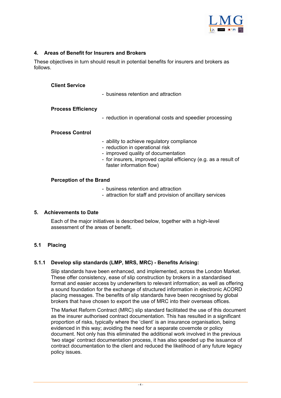

# <span id="page-4-0"></span>**4. Areas of Benefit for Insurers and Brokers**

These objectives in turn should result in potential benefits for insurers and brokers as follows.

#### **Client Service**

- business retention and attraction

#### **Process Efficiency**

- reduction in operational costs and speedier processing

#### **Process Control**

- ability to achieve regulatory compliance
- reduction in operational risk
- improved quality of documentation
- for insurers, improved capital efficiency (e.g. as a result of faster information flow)

### **Perception of the Brand**

- business retention and attraction
- attraction for staff and provision of ancillary services

### **5. Achievements to Date**

Each of the major initiatives is described below, together with a high-level assessment of the areas of benefit.

### **5.1 Placing**

### **5.1.1 Develop slip standards (LMP, MRS, MRC) - Benefits Arising:**

Slip standards have been enhanced, and implemented, across the London Market. These offer consistency, ease of slip construction by brokers in a standardised format and easier access by underwriters to relevant information; as well as offering a sound foundation for the exchange of structured information in electronic ACORD placing messages. The benefits of slip standards have been recognised by global brokers that have chosen to export the use of MRC into their overseas offices.

The Market Reform Contract (MRC) slip standard facilitated the use of this document as the insurer authorised contract documentation. This has resulted in a significant proportion of risks, typically where the 'client' is an insurance organisation, being evidenced in this way; avoiding the need for a separate covernote or policy document. Not only has this eliminated the additional work involved in the previous 'two stage' contract documentation process, it has also speeded up the issuance of contract documentation to the client and reduced the likelihood of any future legacy policy issues.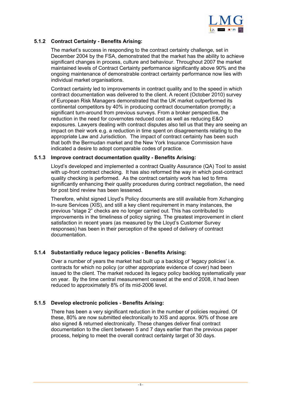

# <span id="page-5-0"></span>**5.1.2 Contract Certainty - Benefits Arising:**

The market's success in responding to the contract certainty challenge, set in December 2004 by the FSA, demonstrated that the market has the ability to achieve significant changes in process, culture and behaviour. Throughout 2007 the market maintained levels of Contract Certainty performance significantly above 90% and the ongoing maintenance of demonstrable contract certainty performance now lies with individual market organisations.

Contract certainty led to improvements in contract quality and to the speed in which contract documentation was delivered to the client. A recent (October 2010) survey of European Risk Managers demonstrated that the UK market outperformed its continental competitors by 40% in producing contract documentation promptly; a significant turn-around from previous surveys. From a broker perspective, the reduction in the need for covernotes reduced cost as well as reducing E&O exposures. Lawyers dealing with contract disputes also tell us that they are seeing an impact on their work e.g. a reduction in time spent on disagreements relating to the appropriate Law and Jurisdiction. The impact of contract certainty has been such that both the Bermudan market and the New York Insurance Commission have indicated a desire to adopt comparable codes of practice.

#### **5.1.3 Improve contract documentation quality - Benefits Arising:**

Lloyd's developed and implemented a contract Quality Assurance (QA) Tool to assist with up-front contract checking. It has also reformed the way in which post-contract quality checking is performed. As the contract certainty work has led to firms significantly enhancing their quality procedures during contract negotiation, the need for post bind review has been lessened.

Therefore, whilst signed Lloyd's Policy documents are still available from Xchanging In-sure Services (XIS), and still a key client requirement in many instances, the previous "stage 2" checks are no longer carried out. This has contributed to improvements in the timeliness of policy signing. The greatest improvement in client satisfaction in recent years (as measured by the Lloyd's Customer Survey responses) has been in their perception of the speed of delivery of contract documentation.

### **5.1.4 Substantially reduce legacy policies - Benefits Arising:**

Over a number of years the market had built up a backlog of 'legacy policies' i.e. contracts for which no policy (or other appropriate evidence of cover) had been issued to the client. The market reduced its legacy policy backlog systematically year on year. By the time central measurement ceased at the end of 2008, it had been reduced to approximately 8% of its mid-2006 level.

### **5.1.5 Develop electronic policies - Benefits Arising:**

There has been a very significant reduction in the number of policies required. Of these, 80% are now submitted electronically to XIS and approx. 90% of those are also signed & returned electronically. These changes deliver final contract documentation to the client between 5 and 7 days earlier than the previous paper process, helping to meet the overall contract certainty target of 30 days.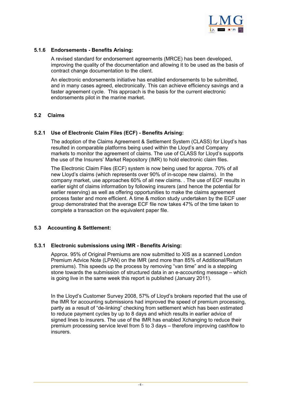

# <span id="page-6-0"></span>**5.1.6 Endorsements - Benefits Arising:**

A revised standard for endorsement agreements (MRCE) has been developed, improving the quality of the documentation and allowing it to be used as the basis of contract change documentation to the client.

An electronic endorsements initiative has enabled endorsements to be submitted, and in many cases agreed, electronically. This can achieve efficiency savings and a faster agreement cycle. This approach is the basis for the current electronic endorsements pilot in the marine market.

# **5.2 Claims**

### **5.2.1 Use of Electronic Claim Files (ECF) - Benefits Arising:**

The adoption of the Claims Agreement & Settlement System (CLASS) for Lloyd's has resulted in comparable platforms being used within the Lloyd's and Company markets to monitor the agreement of claims. The use of CLASS for Lloyd's supports the use of the Insurers' Market Repository (IMR) to hold electronic claim files.

The Electronic Claim Files (ECF) system is now being used for approx. 70% of all new Lloyd's claims (which represents over 90% of in-scope new claims). In the company market, use approaches 60% of all new claims. . The use of ECF results in earlier sight of claims information by following insurers (and hence the potential for earlier reserving) as well as offering opportunities to make the claims agreement process faster and more efficient. A time & motion study undertaken by the ECF user group demonstrated that the average ECF file now takes 47% of the time taken to complete a transaction on the equivalent paper file.

### **5.3 Accounting & Settlement:**

### **5.3.1 Electronic submissions using IMR - Benefits Arising:**

Approx. 95% of Original Premiums are now submitted to XIS as a scanned London Premium Advice Note (LPAN) on the IMR (and more than 85% of Additional/Return premiums). This speeds up the process by removing "van time" and is a stepping stone towards the submission of structured data in an e-accounting message – which is going live in the same week this report is published (January 2011).

In the Lloyd's Customer Survey 2008, 57% of Lloyd's brokers reported that the use of the IMR for accounting submissions had improved the speed of premium processing, partly as a result of "de-linking" checking from settlement which has been estimated to reduce payment cycles by up to 8 days and which results in earlier advice of signed lines to insurers. The use of the IMR has enabled Xchanging to reduce their premium processing service level from 5 to 3 days – therefore improving cashflow to insurers.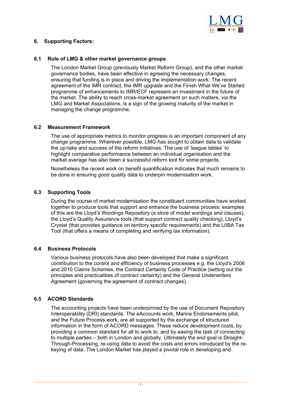

# <span id="page-7-0"></span>**6. Supporting Factors:**

### **6.1 Role of LMG & other market governance groups**

The London Market Group (previously Market Reform Group), and the other market governance bodies, have been effective in agreeing the necessary changes, ensuring that funding is in place and driving the implementation work. The recent agreement of the IMR contract, the IMR upgrade and the Finish What We've Started programme of enhancements to IMR/ECF represent an investment in the future of the market. The ability to reach cross-market agreement on such matters, via the LMG and Market Associations, is a sign of the growing maturity of the market in managing the change programme.

#### **6.2 Measurement Framework**

The use of appropriate metrics to monitor progress is an important component of any change programme. Wherever possible, LMG has sought to obtain data to validate the up-take and success of the reform initiatives. The use of 'league tables' to highlight comparative performance between an individual organisation and the market average has also been a successful reform tool for some projects.

Nonetheless the recent work on benefit quantification indicates that much remains to be done in ensuring good quality data to underpin modernisation work.

### **6.3 Supporting Tools**

During the course of market modernisation the constituent communities have worked together to produce tools that support and enhance the business process; examples of this are the Lloyd's Wordings Repository (a store of model wordings and clauses), the Lloyd's Quality Assurance tools (that support contract quality checking), Lloyd's Crystal (that provides guidance on territory specific requirements) and the LIIBA Tax Tool (that offers a means of completing and verifying tax information).

#### **6.4 Business Protocols**

Various business protocols have also been developed that make a significant contribution to the control and efficiency of business processes e.g. the Lloyd's 2006 and 2010 Claims Schemes, the Contract Certainty Code of Practice (setting out the principles and practicalities of contract certainty) and the General Underwriters Agreement (governing the agreement of contract changes).

### **6.5 ACORD Standards**

The accounting projects have been underpinned by the use of Document Repository Interoperability (DRI) standards. The eAccounts work, Marine Endorsements pilot, and the Future Process work, are all supported by the exchange of structured information in the form of ACORD messages. These reduce development costs, by providing a common standard for all to work to, and by easing the task of connecting to multiple parties – both in London and globally. Ultimately the end goal is Straight-Through-Processing; re-using data to avoid the costs and errors introduced by the rekeying of data. The London Market has played a pivotal role in developing and